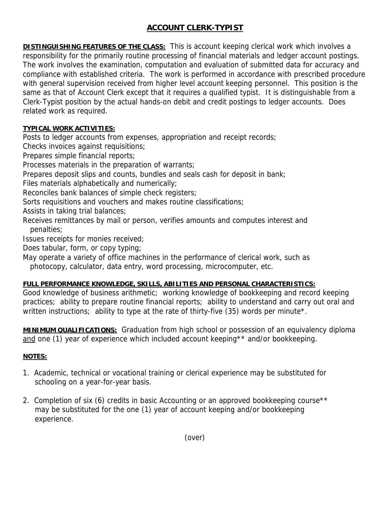## **ACCOUNT CLERK-TYPIST**

**DISTINGUISHING FEATURES OF THE CLASS:** This is account keeping clerical work which involves a responsibility for the primarily routine processing of financial materials and ledger account postings. The work involves the examination, computation and evaluation of submitted data for accuracy and compliance with established criteria. The work is performed in accordance with prescribed procedure with general supervision received from higher level account keeping personnel. This position is the same as that of Account Clerk except that it requires a qualified typist. It is distinguishable from a Clerk-Typist position by the actual hands-on debit and credit postings to ledger accounts. Does related work as required.

## **TYPICAL WORK ACTIVITIES:**

Posts to ledger accounts from expenses, appropriation and receipt records;

Checks invoices against requisitions;

Prepares simple financial reports;

Processes materials in the preparation of warrants;

Prepares deposit slips and counts, bundles and seals cash for deposit in bank;

Files materials alphabetically and numerically;

Reconciles bank balances of simple check registers;

Sorts requisitions and vouchers and makes routine classifications;

Assists in taking trial balances;

Receives remittances by mail or person, verifies amounts and computes interest and penalties;

Issues receipts for monies received;

Does tabular, form, or copy typing;

May operate a variety of office machines in the performance of clerical work, such as photocopy, calculator, data entry, word processing, microcomputer, etc.

## **FULL PERFORMANCE KNOWLEDGE, SKILLS, ABILITIES AND PERSONAL CHARACTERISTICS:**

Good knowledge of business arithmetic; working knowledge of bookkeeping and record keeping practices; ability to prepare routine financial reports; ability to understand and carry out oral and written instructions; ability to type at the rate of thirty-five (35) words per minute<sup>\*</sup>.

**MINIMUM QUALIFICATIONS:** Graduation from high school or possession of an equivalency diploma and one (1) year of experience which included account keeping\*\* and/or bookkeeping.

## **NOTES:**

- 1. Academic, technical or vocational training or clerical experience may be substituted for schooling on a year-for-year basis.
- 2. Completion of six (6) credits in basic Accounting or an approved bookkeeping course<sup>\*\*</sup> may be substituted for the one (1) year of account keeping and/or bookkeeping experience.

(over)